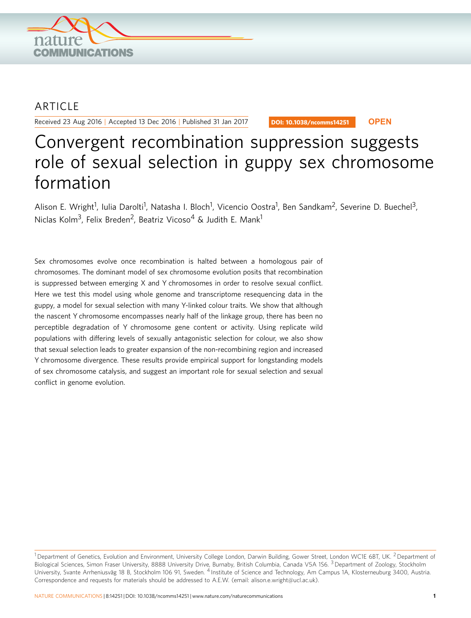

## ARTICLE

Received 23 Aug 2016 | Accepted 13 Dec 2016 | Published 31 Jan 2017

DOI: 10.1038/ncomms14251 **OPEN**

# Convergent recombination suppression suggests role of sexual selection in guppy sex chromosome formation

Alison E. Wright<sup>1</sup>, Iulia Darolti<sup>1</sup>, Natasha I. Bloch<sup>1</sup>, Vicencio Oostra<sup>1</sup>, Ben Sandkam<sup>2</sup>, Severine D. Buechel<sup>3</sup>, Niclas Kolm<sup>3</sup>, Felix Breden<sup>2</sup>, Beatriz Vicoso<sup>4</sup> & Judith E. Mank<sup>1</sup>

Sex chromosomes evolve once recombination is halted between a homologous pair of chromosomes. The dominant model of sex chromosome evolution posits that recombination is suppressed between emerging X and Y chromosomes in order to resolve sexual conflict. Here we test this model using whole genome and transcriptome resequencing data in the guppy, a model for sexual selection with many Y-linked colour traits. We show that although the nascent Y chromosome encompasses nearly half of the linkage group, there has been no perceptible degradation of Y chromosome gene content or activity. Using replicate wild populations with differing levels of sexually antagonistic selection for colour, we also show that sexual selection leads to greater expansion of the non-recombining region and increased Y chromosome divergence. These results provide empirical support for longstanding models of sex chromosome catalysis, and suggest an important role for sexual selection and sexual conflict in genome evolution.

<sup>&</sup>lt;sup>1</sup> Department of Genetics, Evolution and Environment, University College London, Darwin Building, Gower Street, London WC1E 6BT, UK. <sup>2</sup> Department of Biological Sciences, Simon Fraser University, 8888 University Drive, Burnaby, British Columbia, Canada V5A 1S6.<sup>3</sup> Department of Zoology, Stockholm University, Svante Arrheniusväg 18 B, Stockholm 106 91, Sweden. <sup>4</sup> Institute of Science and Technology, Am Campus 1A, Klosterneuburg 3400, Austria. Correspondence and requests for materials should be addressed to A.E.W. (email: [alison.e.wright@ucl.ac.uk\)](mailto:alison.e.wright@ucl.ac.uk).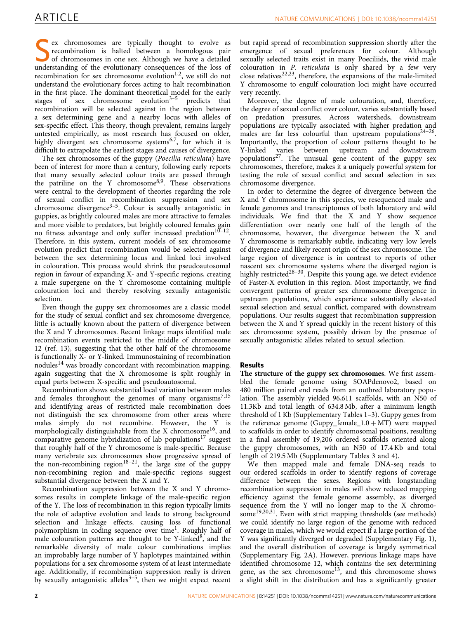ex chromosomes are typically thought to evolve as recombination is halted between a homologous pair of chromosomes in one sex. Although we have a detailed understanding of the evolutionary consequences of the loss of recombination for sex chromosome evolution<sup>1,2</sup>, we still do not understand the evolutionary forces acting to halt recombination in the first place. The dominant theoretical model for the early stages of sex chromosome evolution<sup>[3–5](#page-7-0)</sup> predicts that recombination will be selected against in the region between a sex determining gene and a nearby locus with alleles of sex-specific effect. This theory, though prevalent, remains largely untested empirically, as most research has focused on older, highly divergent sex chromosome systems<sup>6,7</sup>, for which it is difficult to extrapolate the earliest stages and causes of divergence.

The sex chromosomes of the guppy (Poecilia reticulata) have been of interest for more than a century, following early reports that many sexually selected colour traits are passed through the patriline on the Y chromosome[8,9.](#page-8-0) These observations were central to the development of theories regarding the role of sexual conflict in recombination suppression and sex chromosome divergence $3-5$ . Colour is sexually antagonistic in guppies, as brightly coloured males are more attractive to females and more visible to predators, but brightly coloured females gain no fitness advantage and only suffer increased predation $10^{-12}$ . Therefore, in this system, current models of sex chromosome evolution predict that recombination would be selected against between the sex determining locus and linked loci involved in colouration. This process would shrink the pseudoautosomal region in favour of expanding X- and Y-specific regions, creating a male supergene on the Y chromosome containing multiple colouration loci and thereby resolving sexually antagonistic selection.

Even though the guppy sex chromosomes are a classic model for the study of sexual conflict and sex chromosome divergence, little is actually known about the pattern of divergence between the X and Y chromosomes. Recent linkage maps identified male recombination events restricted to the middle of chromosome 12 ([ref. 13](#page-8-0)), suggesting that the other half of the chromosome is functionally X- or Y-linked. Immunostaining of recombination  $n$ odules $14$  was broadly concordant with recombination mapping, again suggesting that the X chromosome is split roughly in equal parts between X-specific and pseudoautosomal.

Recombination shows substantial local variation between males and females throughout the genomes of many organisms<sup>[7,15](#page-7-0)</sup> and identifying areas of restricted male recombination does not distinguish the sex chromosome from other areas where males simply do not recombine. However, the Y is morphologically distinguishable from the X chromosome<sup>[16](#page-8-0)</sup>, and comparative genome hybridization of lab populations<sup>[17](#page-8-0)</sup> suggest that roughly half of the Y chromosome is male-specific. Because many vertebrate sex chromosomes show progressive spread of the non-recombining region<sup>18–21</sup>, the large size of the guppy non-recombining region and male-specific regions suggest substantial divergence between the X and Y.

Recombination suppression between the X and Y chromosomes results in complete linkage of the male-specific region of the Y. The loss of recombination in this region typically limits the role of adaptive evolution and leads to strong background selection and linkage effects, causing loss of functional polymorphism in coding sequence over time<sup>[1](#page-7-0)</sup>. Roughly half of male colouration patterns are thought to be Y-linked<sup>[8](#page-8-0)</sup>, and the remarkable diversity of male colour combinations implies an improbably large number of Y haplotypes maintained within populations for a sex chromosome system of at least intermediate age. Additionally, if recombination suppression really is driven by sexually antagonistic alleles<sup>3-5</sup>, then we might expect recent

but rapid spread of recombination suppression shortly after the emergence of sexual preferences for colour. Although sexually selected traits exist in many Poeciliids, the vivid male colouration in P. reticulata is only shared by a few very close relatives<sup>[22,23](#page-8-0)</sup>, therefore, the expansions of the male-limited Y chromosome to engulf colouration loci might have occurred very recently.

Moreover, the degree of male colouration, and, therefore, the degree of sexual conflict over colour, varies substantially based on predation pressures. Across watersheds, downstream populations are typically associated with higher predation and males are far less colourful than upstream populations<sup>24-26</sup>. Importantly, the proportion of colour patterns thought to be Y-linked varies between upstream and downstream populations<sup>27</sup>. The unusual gene content of the guppy sex chromosomes, therefore, makes it a uniquely powerful system for testing the role of sexual conflict and sexual selection in sex chromosome divergence.

In order to determine the degree of divergence between the X and Y chromosome in this species, we resequenced male and female genomes and transcriptomes of both laboratory and wild individuals. We find that the X and Y show sequence differentiation over nearly one half of the length of the chromosome, however, the divergence between the X and Y chromosome is remarkably subtle, indicating very low levels of divergence and likely recent origin of the sex chromosome. The large region of divergence is in contrast to reports of other nascent sex chromosome systems where the diverged region is highly restricted<sup>28–30</sup>. Despite this young age, we detect evidence of Faster-X evolution in this region. Most importantly, we find convergent patterns of greater sex chromosome divergence in upstream populations, which experience substantially elevated sexual selection and sexual conflict, compared with downstream populations. Our results suggest that recombination suppression between the X and Y spread quickly in the recent history of this sex chromosome system, possibly driven by the presence of sexually antagonistic alleles related to sexual selection.

#### Results

The structure of the guppy sex chromosomes. We first assembled the female genome using SOAPdenovo2, based on 480 million paired end reads from an outbred laboratory population. The assembly yielded 96,611 scaffolds, with an N50 of 11.3Kb and total length of 634.8 Mb, after a minimum length threshold of 1 Kb (Supplementary Tables 1–3). Guppy genes from the reference genome (Guppy\_female\_1.0 + MT) were mapped to scaffolds in order to identify chromosomal positions, resulting in a final assembly of 19,206 ordered scaffolds oriented along the guppy chromosomes, with an N50 of 17.4 Kb and total length of 219.5 Mb (Supplementary Tables 3 and 4).

We then mapped male and female DNA-seq reads to our ordered scaffolds in order to identify regions of coverage difference between the sexes. Regions with longstanding recombination suppression in males will show reduced mapping efficiency against the female genome assembly, as diverged sequence from the Y will no longer map to the X chromosome<sup>19,20,31</sup>. Even with strict mapping thresholds (see methods) we could identify no large region of the genome with reduced coverage in males, which we would expect if a large portion of the Y was significantly diverged or degraded (Supplementary Fig. 1), and the overall distribution of coverage is largely symmetrical (Supplementary Fig. 2A). However, previous linkage maps have identified chromosome 12, which contains the sex determining gene, as the sex chromosome<sup>[13](#page-8-0)</sup>, and this chromosome shows a slight shift in the distribution and has a significantly greater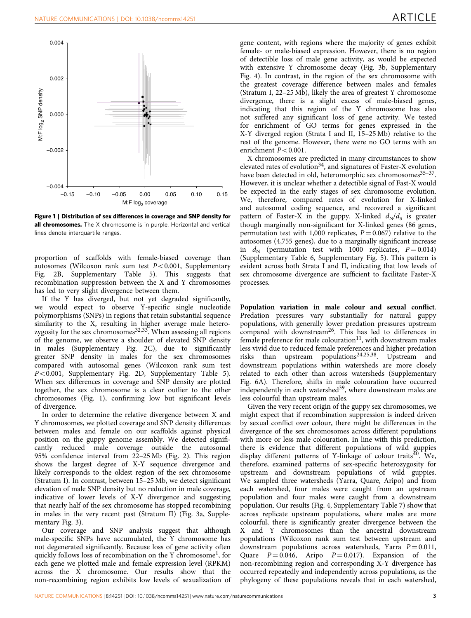

Figure 1 | Distribution of sex differences in coverage and SNP density for all chromosomes. The X chromosome is in purple. Horizontal and vertical lines denote interquartile ranges.

proportion of scaffolds with female-biased coverage than autosomes (Wilcoxon rank sum test  $P < 0.001$ , Supplementary Fig. 2B, Supplementary Table 5). This suggests that recombination suppression between the X and Y chromosomes has led to very slight divergence between them.

If the Y has diverged, but not yet degraded significantly, we would expect to observe Y-specific single nucleotide polymorphisms (SNPs) in regions that retain substantial sequence similarity to the X, resulting in higher average male heterozygosity for the sex chromosomes<sup>32,33</sup>. When assessing all regions of the genome, we observe a shoulder of elevated SNP density in males (Supplementary Fig. 2C), due to significantly greater SNP density in males for the sex chromosomes compared with autosomal genes (Wilcoxon rank sum test  $P < 0.001$ , Supplementary Fig. 2D, Supplementary Table 5). When sex differences in coverage and SNP density are plotted together, the sex chromosome is a clear outlier to the other chromosomes (Fig. 1), confirming low but significant levels of divergence.

In order to determine the relative divergence between X and Y chromosomes, we plotted coverage and SNP density differences between males and female on our scaffolds against physical position on the guppy genome assembly. We detected significantly reduced male coverage outside the autosomal 95% confidence interval from 22–25 Mb ([Fig. 2\)](#page-3-0). This region shows the largest degree of X-Y sequence divergence and likely corresponds to the oldest region of the sex chromosome (Stratum I). In contrast, between 15–25 Mb, we detect significant elevation of male SNP density but no reduction in male coverage, indicative of lower levels of X-Y divergence and suggesting that nearly half of the sex chromosome has stopped recombining in males in the very recent past (Stratum II) [\(Fig. 3a,](#page-4-0) Supplementary Fig. 3).

Our coverage and SNP analysis suggest that although male-specific SNPs have accumulated, the Y chromosome has not degenerated significantly. Because loss of gene activity often quickly follows loss of recombination on the Y chromosome<sup>[1](#page-7-0)</sup>, for each gene we plotted male and female expression level (RPKM) across the X chromosome. Our results show that the non-recombining region exhibits low levels of sexualization of gene content, with regions where the majority of genes exhibit female- or male-biased expression. However, there is no region of detectible loss of male gene activity, as would be expected with extensive Y chromosome decay ([Fig. 3b,](#page-4-0) Supplementary Fig. 4). In contrast, in the region of the sex chromosome with the greatest coverage difference between males and females (Stratum I, 22–25 Mb), likely the area of greatest Y chromosome divergence, there is a slight excess of male-biased genes, indicating that this region of the Y chromosome has also not suffered any significant loss of gene activity. We tested for enrichment of GO terms for genes expressed in the X-Y diverged region (Strata I and II, 15–25 Mb) relative to the rest of the genome. However, there were no GO terms with an enrichment  $P < 0.001$ .

X chromosomes are predicted in many circumstances to show elevated rates of evolution<sup>34</sup>, and signatures of Faster-X evolution have been detected in old, heteromorphic sex chromosomes $35-37$ . However, it is unclear whether a detectible signal of Fast-X would be expected in the early stages of sex chromosome evolution. We, therefore, compared rates of evolution for X-linked and autosomal coding sequence, and recovered a significant pattern of Faster-X in the guppy. X-linked  $d_N/d_S$  is greater though marginally non-significant for X-linked genes (86 genes, permutation test with 1,000 replicates,  $P = 0.067$  relative to the autosomes (4,755 genes), due to a marginally significant increase in  $d_N$  (permutation test with 1000 replicates,  $P = 0.014$ ) (Supplementary Table 6, Supplementary Fig. 5). This pattern is evident across both Strata I and II, indicating that low levels of sex chromosome divergence are sufficient to facilitate Faster-X processes.

Population variation in male colour and sexual conflict. Predation pressures vary substantially for natural guppy populations, with generally lower predation pressures upstream compared with downstream<sup>26</sup>. This has led to differences in female preference for male colouration $11$ , with downstream males less vivid due to reduced female preferences and higher predation risks than upstream populations<sup>[24,25,38](#page-8-0)</sup>. Upstream and downstream populations within watersheds are more closely related to each other than across watersheds (Supplementary Fig. 6A). Therefore, shifts in male colouration have occurred independently in each watershed $39$ , where downstream males are less colourful than upstream males.

Given the very recent origin of the guppy sex chromosomes, we might expect that if recombination suppression is indeed driven by sexual conflict over colour, there might be differences in the divergence of the sex chromosomes across different populations with more or less male colouration. In line with this prediction, there is evidence that different populations of wild guppies display different patterns of Y-linkage of colour traits<sup>40</sup>. We, therefore, examined patterns of sex-specific heterozygosity for upstream and downstream populations of wild guppies. We sampled three watersheds (Yarra, Quare, Aripo) and from each watershed, four males were caught from an upstream population and four males were caught from a downstream population. Our results ([Fig. 4,](#page-5-0) Supplementary Table 7) show that across replicate upstream populations, where males are more colourful, there is significantly greater divergence between the X and Y chromosomes than the ancestral downstream populations (Wilcoxon rank sum test between upstream and downstream populations across watersheds, Yarra  $P = 0.011$ , Quare  $P = 0.046$ , Aripo  $P = 0.017$ ). Expansion of the non-recombining region and corresponding X-Y divergence has occurred repeatedly and independently across populations, as the phylogeny of these populations reveals that in each watershed,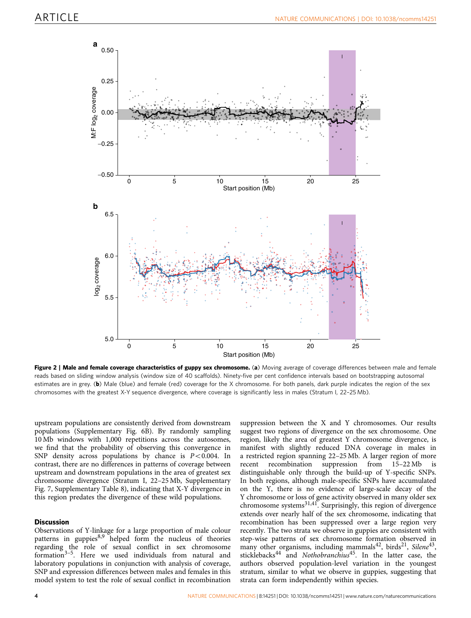<span id="page-3-0"></span>

Figure 2 | Male and female coverage characteristics of guppy sex chromosome. (a) Moving average of coverage differences between male and female reads based on sliding window analysis (window size of 40 scaffolds). Ninety-five per cent confidence intervals based on bootstrapping autosomal estimates are in grey. (b) Male (blue) and female (red) coverage for the X chromosome. For both panels, dark purple indicates the region of the sex chromosomes with the greatest X-Y sequence divergence, where coverage is significantly less in males (Stratum I, 22–25 Mb).

upstream populations are consistently derived from downstream populations (Supplementary Fig. 6B). By randomly sampling 10 Mb windows with 1,000 repetitions across the autosomes, we find that the probability of observing this convergence in SNP density across populations by chance is  $P < 0.004$ . In contrast, there are no differences in patterns of coverage between upstream and downstream populations in the area of greatest sex chromosome divergence (Stratum I, 22–25 Mb, Supplementary Fig. 7, Supplementary Table 8), indicating that X-Y divergence in this region predates the divergence of these wild populations.

#### **Discussion**

Observations of Y-linkage for a large proportion of male colour patterns in guppies $8.9$  helped form the nucleus of theories regarding the role of sexual conflict in sex chromosome formation[3–5.](#page-7-0) Here we used individuals from natural and laboratory populations in conjunction with analysis of coverage, SNP and expression differences between males and females in this model system to test the role of sexual conflict in recombination

suppression between the X and Y chromosomes. Our results suggest two regions of divergence on the sex chromosome. One region, likely the area of greatest Y chromosome divergence, is manifest with slightly reduced DNA coverage in males in a restricted region spanning 22–25 Mb. A larger region of more recent recombination suppression from 15–22 Mb is distinguishable only through the build-up of Y-specific SNPs. In both regions, although male-specific SNPs have accumulated on the Y, there is no evidence of large-scale decay of the Y chromosome or loss of gene activity observed in many older sex chromosome systems<sup>[31,41](#page-8-0)</sup>. Surprisingly, this region of divergence extends over nearly half of the sex chromosome, indicating that recombination has been suppressed over a large region very recently. The two strata we observe in guppies are consistent with step-wise patterns of sex chromosome formation observed in many other organisms, including mammals<sup>[42](#page-8-0)</sup>, birds<sup>21</sup>, Silene<sup>43</sup>, sticklebacks<sup>[44](#page-8-0)</sup> and Nothobranchius<sup>[45](#page-8-0)</sup>. In the latter case, the authors observed population-level variation in the youngest stratum, similar to what we observe in guppies, suggesting that strata can form independently within species.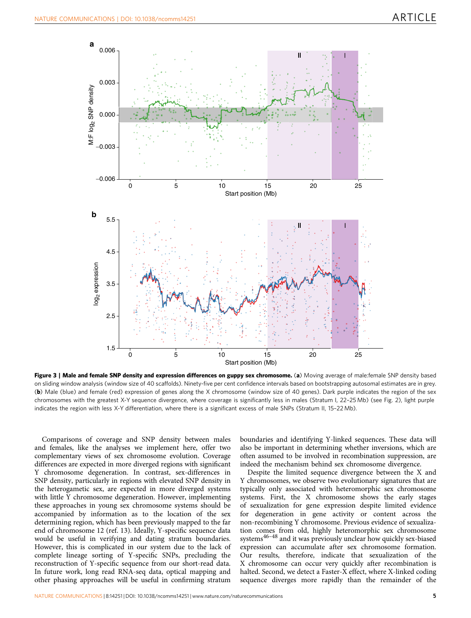<span id="page-4-0"></span>

Figure 3 | Male and female SNP density and expression differences on guppy sex chromosome. (a) Moving average of male:female SNP density based on sliding window analysis (window size of 40 scaffolds). Ninety-five per cent confidence intervals based on bootstrapping autosomal estimates are in grey. (b) Male (blue) and female (red) expression of genes along the X chromosome (window size of 40 genes). Dark purple indicates the region of the sex chromosomes with the greatest X-Y sequence divergence, where coverage is significantly less in males (Stratum I, 22–25 Mb) (see [Fig. 2\)](#page-3-0), light purple indicates the region with less X-Y differentiation, where there is a significant excess of male SNPs (Stratum II, 15–22 Mb).

Comparisons of coverage and SNP density between males and females, like the analyses we implement here, offer two complementary views of sex chromosome evolution. Coverage differences are expected in more diverged regions with significant Y chromosome degeneration. In contrast, sex-differences in SNP density, particularly in regions with elevated SNP density in the heterogametic sex, are expected in more diverged systems with little Y chromosome degeneration. However, implementing these approaches in young sex chromosome systems should be accompanied by information as to the location of the sex determining region, which has been previously mapped to the far end of chromosome 12 [\(ref. 13](#page-8-0)). Ideally, Y-specific sequence data would be useful in verifying and dating stratum boundaries. However, this is complicated in our system due to the lack of complete lineage sorting of Y-specific SNPs, precluding the reconstruction of Y-specific sequence from our short-read data. In future work, long read RNA-seq data, optical mapping and other phasing approaches will be useful in confirming stratum

boundaries and identifying Y-linked sequences. These data will also be important in determining whether inversions, which are often assumed to be involved in recombination suppression, are indeed the mechanism behind sex chromosome divergence.

Despite the limited sequence divergence between the X and Y chromosomes, we observe two evolutionary signatures that are typically only associated with heteromorphic sex chromosome systems. First, the X chromosome shows the early stages of sexualization for gene expression despite limited evidence for degeneration in gene activity or content across the non-recombining Y chromosome. Previous evidence of sexualization comes from old, highly heteromorphic sex chromosome  $\rm systems^{46-48}$  and it was previously unclear how quickly sex-biased expression can accumulate after sex chromosome formation. Our results, therefore, indicate that sexualization of the X chromosome can occur very quickly after recombination is halted. Second, we detect a Faster-X effect, where X-linked coding sequence diverges more rapidly than the remainder of the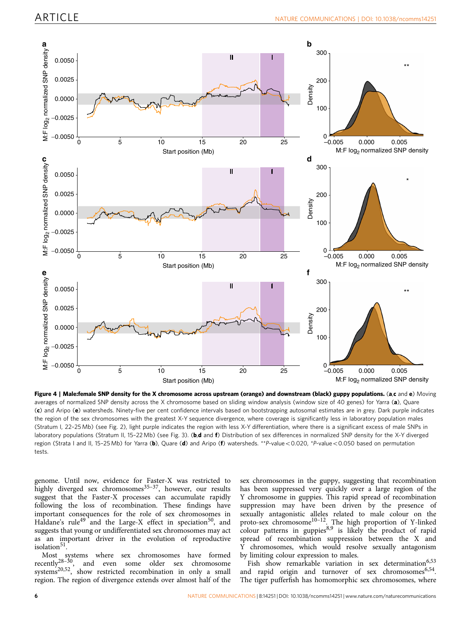<span id="page-5-0"></span>

Figure 4 | Male:female SNP density for the X chromosome across upstream (orange) and downstream (black) guppy populations. (a,c and e) Moving averages of normalized SNP density across the X chromosome based on sliding window analysis (window size of 40 genes) for Yarra (a), Quare (c) and Aripo (e) watersheds. Ninety-five per cent confidence intervals based on bootstrapping autosomal estimates are in grey. Dark purple indicates the region of the sex chromosomes with the greatest X-Y sequence divergence, where coverage is significantly less in laboratory population males (Stratum I, 22–25 Mb) (see [Fig. 2](#page-3-0)), light purple indicates the region with less X-Y differentiation, where there is a significant excess of male SNPs in laboratory populations (Stratum II, 15-22 Mb) (see [Fig. 3\)](#page-4-0). (b,d and f) Distribution of sex differences in normalized SNP density for the X-Y diverged region (Strata I and II, 15-25 Mb) for Yarra (b), Quare (d) and Aripo (f) watersheds. \*\*P-value < 0.020, \*P-value < 0.050 based on permutation tests.

genome. Until now, evidence for Faster-X was restricted to highly diverged sex chromosomes $35-37$ , however, our results suggest that the Faster-X processes can accumulate rapidly following the loss of recombination. These findings have important consequences for the role of sex chromosomes in Haldane's rule<sup>[49](#page-8-0)</sup> and the Large-X effect in speciation<sup>[50](#page-8-0)</sup>, and suggests that young or undifferentiated sex chromosomes may act as an important driver in the evolution of reproductive isolation<sup>[51](#page-8-0)</sup>.

Most systems where sex chromosomes have formed recently<sup>28–30</sup>, and even some older sex chromosome systems<sup>20,52</sup>, show restricted recombination in only a small region. The region of divergence extends over almost half of the sex chromosomes in the guppy, suggesting that recombination has been suppressed very quickly over a large region of the Y chromosome in guppies. This rapid spread of recombination suppression may have been driven by the presence of sexually antagonistic alleles related to male colour on the proto-sex chromosome<sup>10-12</sup>. The high proportion of Y-linked colour patterns in guppies<sup>[8,9](#page-8-0)</sup> is likely the product of rapid spread of recombination suppression between the X and Y chromosomes, which would resolve sexually antagonism by limiting colour expression to males.

Fish show remarkable variation in sex determination<sup>[6,53](#page-7-0)</sup> and rapid origin and turnover of sex chromosomes<sup>6,54</sup>. The tiger pufferfish has homomorphic sex chromosomes, where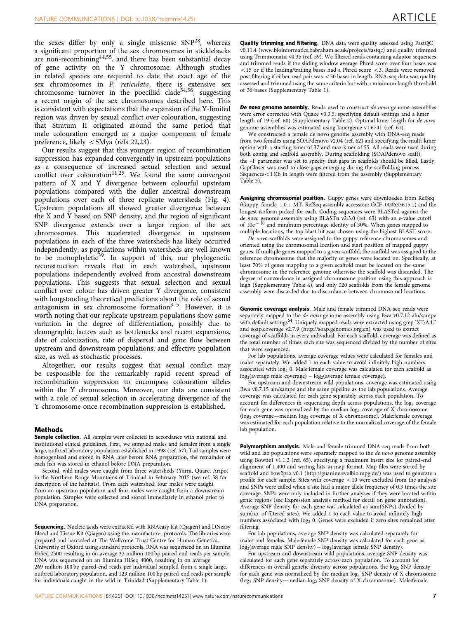the sexes differ by only a single missense  $SNP^{28}$  $SNP^{28}$  $SNP^{28}$ , whereas a significant proportion of the sex chromosomes in sticklebacks are non-recombinin[g44,55](#page-8-0), and there has been substantial decay of gene activity on the Y chromosome. Although studies in related species are required to date the exact age of the sex chromosomes in P. reticulata, there is extensive sex chromosome turnover in the poeciliid clade<sup>[54,56](#page-8-0)</sup>, suggesting a recent origin of the sex chromosomes described here. This is consistent with expectations that the expansion of the Y-limited region was driven by sexual conflict over colouration, suggesting that Stratum II originated around the same period that male colouration emerged as a major component of female preference, likely  $<$  5Mya ([refs 22,23](#page-8-0)).

Our results suggest that this younger region of recombination suppression has expanded convergently in upstream populations as a consequence of increased sexual selection and sexual conflict over colouration<sup>11,25</sup>. We found the same convergent pattern of X and Y divergence between colourful upstream populations compared with the duller ancestral downstream populations over each of three replicate watersheds ([Fig. 4](#page-5-0)). Upstream populations all showed greater divergence between the X and Y based on SNP density, and the region of significant SNP divergence extends over a larger region of the sex chromosomes. This accelerated divergence in upstream populations in each of the three watersheds has likely occurred independently, as populations within watersheds are well known to be monophyletic<sup>39</sup>. In support of this, our phylogenetic reconstruction reveals that in each watershed, upstream populations independently evolved from ancestral downstream populations. This suggests that sexual selection and sexual conflict over colour has driven greater Y divergence, consistent with longstanding theoretical predictions about the role of sexual antagonism in sex chromosome formation $3-5$ . However, it is worth noting that our replicate upstream populations show some variation in the degree of differentiation, possibly due to demographic factors such as bottlenecks and recent expansions, date of colonization, rate of dispersal and gene flow between upstream and downstream populations, and effective population size, as well as stochastic processes.

Altogether, our results suggest that sexual conflict may be responsible for the remarkably rapid recent spread of recombination suppression to encompass colouration alleles within the Y chromosome. Moreover, our data are consistent with a role of sexual selection in accelerating divergence of the Y chromosome once recombination suppression is established.

#### Methods

Sample collection. All samples were collected in accordance with national and institutional ethical guidelines. First, we sampled males and females from a single large, outbred laboratory population established in 1998 [\(ref. 57\)](#page-8-0). Tail samples were homogenized and stored in RNA later before RNA preparation, the remainder of each fish was stored in ethanol before DNA preparation.

Second, wild males were caught from three watersheds (Yarra, Quare, Aripo) in the Northern Range Mountains of Trinidad in February 2015 (see [ref. 58](#page-8-0) for description of the habitats). From each watershed, four males were caught from an upstream population and four males were caught from a downstream population. Samples were collected and stored immediately in ethanol prior to DNA preparation.

Sequencing. Nucleic acids were extracted with RNAeasy Kit (Qiagen) and DNeasy Blood and Tissue Kit (Qiagen) using the manufacturer protocols. The libraries were prepared and barcoded at The Wellcome Trust Centre for Human Genetics, University of Oxford using standard protocols. RNA was sequenced on an Illumina HiSeq 2500 resulting in on average 32 million 100 bp paired-end reads per sample. DNA was sequenced on an Illumina HiSeq 4000, resulting in on average 269 million 100 bp paired-end reads per individual sampled from a single large, outbred laboratory population, and 123 million 100 bp paired-end reads per sample for individuals caught in the wild in Trinidad (Supplementary Table 1).

Quality trimming and filtering. DNA data were quality assessed using FastQC v0.11.4 [\(www.bioinformatics.babraham.ac.uk/projects/fastqc](www.bioinformatics.babraham.ac.uk/projects/fastqc)) and quality trimmed using Trimmomatic v0.35 ([ref. 59](#page-8-0)). We filtered reads containing adaptor sequences and trimmed reads if the sliding window average Phred score over four bases was  $<$  15 or if the leading/trailing bases had a Phred score  $<$  3. Reads were removed post filtering if either read pair was <50 bases in length. RNA-seq data was quality assessed and trimmed using the same criteria but with a minimum length threshold of 36 bases (Supplementary Table 1).

**De novo genome assembly.** Reads used to construct  $de novo$  genome assemblies were error corrected with Quake v0.3.5, specifying default settings and a kmer length of 19 [\(ref. 60\)](#page-8-0) (Supplementary Table 2). Optimal kmer length for de novo genome assemblies was estimated using kmergenie v1.6741 [\(ref. 61\)](#page-8-0).

We constructed a female de novo genome assembly with DNA-seq reads from two females using SOAPdenovo v2.04 [\(ref. 62\)](#page-8-0) and specifying the multi-kmer option with a starting kmer of 37 and max kmer of 55. All reads were used during both contig and scaffold assembly. During scaffolding (SOAPdenovo scaff), the –F parameter was set to specify that gaps in scaffolds should be filled. Lastly, GapCloser was used to close gaps emerging during the scaffolding process.  $Sequences < 1$  Kb in length were filtered from the assembly (Supplementary Table 3).

Assigning chromosomal position. Guppy genes were downloaded from RefSeq (Guppy\_female\_1.0 + MT, RefSeq assembly accession: GCF\_000633615.1) and the longest isoform picked for each. Coding sequences were BLASTed against the *de novo* genome assembly using BLASTn v2.3.0 [\(ref. 63](#page-8-0)) with an e-value cutofl of  $10e^{-10}$  and minimum percentage identity of 30%. When genes mapped to multiple locations, the top blast hit was chosen using the highest BLAST score.

De novo scaffolds were assigned to the guppy reference chromosomes and oriented using the chromosomal location and start position of mapped guppy genes. If multiple genes mapped to a given scaffold, the scaffold was assigned to the reference chromosome that the majority of genes were located on. Specifically, at least 70% of genes mapping to a given scaffold must be located on the same chromosome in the reference genome otherwise the scaffold was discarded. The degree of concordance in assigned chromosome position using this approach is high (Supplementary Table 4), and only 320 scaffolds from the female genome assembly were discarded due to discordance between chromosomal locations.

Genomic coverage analysis. Male and female trimmed DNA-seq reads were separately mapped to the de novo genome assembly using Bwa v0.7.12 aln/sampe with default settings<sup>64</sup>. Uniquely mapped reads were extracted using grep 'XT:A:U' and soap.coverage v2.7.9 (<http://soap.genomics.org.cn>) was used to extract coverage of scaffolds in every individual. For each scaffold, coverage was defined as the total number of times each site was sequenced divided by the number of sites that were sequenced.

For lab populations, average coverage values were calculated for females and males separately. We added 1 to each value to avoid infinitely high numbers associated with  $log_2$  0. Male:female coverage was calculated for each scaffold as log2(average male coverage) – log2(average female coverage).

For upstream and downstream wild populations, coverage was estimated using Bwa v0.7.15 aln/sampe and the same pipeline as the lab populations. Average coverage was calculated for each gene separately across each population. To account for differences in sequencing depth across populations, the  $log<sub>2</sub>$  coverage for each gene was normalized by the median  $log<sub>2</sub>$  coverage of X chromosome (log<sub>2</sub> coverage—median log<sub>2</sub> coverage of X chromosome). Male:female coverage was estimated for each population relative to the normalized coverage of the female lab population.

Polymorphism analysis. Male and female trimmed DNA-seq reads from both wild and lab populations were separately mapped to the *de novo* genome assembly using Bowtie1 v1.1.2 [\(ref. 65\)](#page-8-0), specifying a maximum insert size for paired-end alignment of 1,400 and writing hits in map format. Map files were sorted by scaffold and bow2pro v0.1 ([http://guanine.evolbio.mpg.de/\)](http://guanine.evolbio.mpg.de/) was used to generate a profile for each sample. Sites with coverage  $<$  10 were excluded from the analysis and SNPs were called when a site had a major allele frequency of 0.3 times the site coverage. SNPs were only included in further analyses if they were located within genic regions (see Expression analysis method for detail on gene annotation). Average SNP density for each gene was calculated as sum(SNPs) divided by sum(no. of filtered sites). We added 1 to each value to avoid infinitely high numbers associated with  $log<sub>2</sub>$  0. Genes were excluded if zero sites remained after filtering.

For lab populations, average SNP density was calculated separately for males and females. Male:female SNP density was calculated for each gene as log<sub>2</sub>(average male SNP density) - log<sub>2</sub>(average female SNP density).

For upstream and downstream wild populations, average SNP density was calculated for each gene separately across each population. To account for differences in overall genetic diversity across populations, the log<sub>2</sub> SNP density for each gene was normalized by the median log<sub>2</sub> SNP density of X chromosome (log2 SNP density—median log2 SNP density of X chromosome). Male:female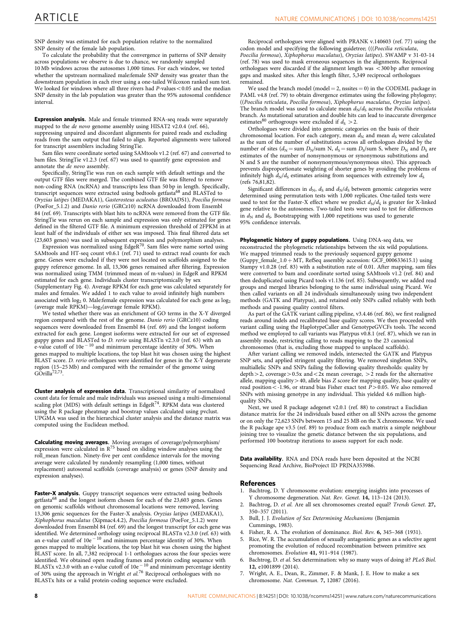<span id="page-7-0"></span>SNP density was estimated for each population relative to the normalized SNP density of the female lab population.

To calculate the probability that the convergence in patterns of SNP density across populations we observe is due to chance, we randomly sampled 10 Mb windows across the autosomes 1,000 times. For each window, we tested whether the upstream normalized male:female SNP density was greater than the downstream population in each river using a one-tailed Wilcoxon ranked sum test. We looked for windows where all three rivers had  $P$ -values $<$  0.05 and the median SNP density in the lab population was greater than the 95% autosomal confidence interval.

Expression analysis. Male and female trimmed RNA-seq reads were separately mapped to the de novo genome assembly using HISAT2 v2.0.4 [\(ref. 66\)](#page-8-0), suppressing unpaired and discordant alignments for paired reads and excluding reads from the sam output that failed to align. Reported alignments were tailored for transcript assemblers including StringTie.

Sam files were coordinate sorted using SAMtools v1.2 ([ref. 67\)](#page-8-0) and converted to bam files. StringTie v1.2.3 ([ref. 67\)](#page-8-0) was used to quantify gene expression and annotate the de novo assembly.

Specifically, StringTie was run on each sample with default settings and the output GTF files were merged. The combined GTF file was filtered to remove non-coding RNA (ncRNA) and transcripts less than 50 bp in length. Specifically, transcript sequences were extracted using bedtools getfasta<sup>[68](#page-8-0)</sup> and BLASTed to Oryzias latipes (MEDAKA1), Gasterosteus aculeatus (BROADS1), Poecilia formosa (PoeFor\_5.1.2) and Danio rerio (GRCz10) ncRNA downloaded from Ensembl 84 [\(ref. 69](#page-9-0)). Transcripts with blast hits to ncRNA were removed from the GTF file. StringTie was rerun on each sample and expression was only estimated for genes defined in the filtered GTF file. A minimum expression threshold of 2FPKM in at least half of the individuals of either sex was imposed. This final filtered data set

(23,603 genes) was used in subsequent expression and polymorphism analyses.<br>Expression was normalized using EdgeR<sup>[70](#page-9-0)</sup>. Sam files were name sorted using SAMtools and HT-seq count v0.6.1 ([ref. 71\)](#page-9-0) used to extract read counts for each gene. Genes were excluded if they were not located on scaffolds assigned to the guppy reference genome. In all, 13,306 genes remained after filtering. Expression was normalized using TMM (trimmed mean of m-values) in EdgeR and RPKM estimated for each gene. Individuals cluster transcriptomically by sex (Supplementary Fig. 4). Average RPKM for each gene was calculated separately for males and females. We added 1 to each value to avoid infinitely high numbers associated with  $log_2 0$ . Male:female expression was calculated for each gene as  $log_2$ (average male RPKM)-log<sub>2</sub>(average female RPKM).

We tested whether there was an enrichment of GO terms in the X-Y diverged region compared with the rest of the genome. Danio rerio (GRCz10) coding sequences were downloaded from Ensembl 84 [\(ref. 69](#page-9-0)) and the longest isoform extracted for each gene. Longest isoforms were extracted for our set of expressed guppy genes and BLASTed to D. rerio using BLASTn v2.3.0 ([ref. 63](#page-8-0)) with an e-value cutoff of  $10e^{-10}$  and minimum percentage identity of 30%. When genes mapped to multiple locations, the top blast hit was chosen using the highest BLAST score. D. rerio orthologues were identified for genes in the X-Y degenerate region (15–25 Mb) and compared with the remainder of the genome using GOrilla<sup>72,73</sup>

Cluster analysis of expression data. Transcriptional similarity of normalized count data for female and male individuals was assessed using a multi-dimensional scaling plot (MDS) with default settings in EdgeR<sup>[74](#page-9-0)</sup>. RPKM data was clustered using the R package pheatmap and boostrap values calculated using pvclust. UPGMA was used in the hierarchical cluster analysis and the distance matrix was computed using the Euclidean method.

**Calculating moving averages.** Moving averages of coverage/polymorphism/ expression were calculated in R<sup>[75](#page-9-0)</sup> based on sliding window analyses using the roll\_mean function. Ninety-five per cent confidence intervals for the moving average were calculated by randomly resampling (1,000 times, without replacement) autosomal scaffolds (coverage analysis) or genes (SNP density and expression analyses).

Faster-X analysis. Guppy transcript sequences were extracted using bedtools getfasta<sup>[68](#page-8-0)</sup> and the longest isoform chosen for each of the 23,603 genes. Genes on genomic scaffolds without chromosomal locations were removed, leaving 13,306 genic sequences for the Faster-X analysis. Oryzias latipes (MEDAKA1), Xiphophorus maculatus (Xipmac4.4.2), Poecilia formosa (PoeFor\_5.1.2) were downloaded from Ensembl 84 ([ref. 69\)](#page-9-0) and the longest transcript for each gene was identified. We determined orthology using reciprocal BLASTn v2.3.0 ([ref. 63\)](#page-8-0) with<br>an e-value cutoff of 10e <sup>– 10</sup> and minimum percentage identity of 30%. When genes mapped to multiple locations, the top blast hit was chosen using the highest BLAST score. In all, 7,382 reciprocal 1-1 orthologues across the four species were identified. We obtained open reading frames and protein coding sequence with BLASTx v2.3.0 with an e-value cutoff of  $10e^{-10}$  and minimum percentage identity of 30% using the approach in Wright et al.[76](#page-9-0) Reciprocal orthologues with no BLASTx hits or a valid protein-coding sequence were excluded.

Reciprocal orthologues were aligned with PRANK v.140603 ([ref. 77\)](#page-9-0) using the codon model and specifying the following guidetree; (((Poecilia reticulata, Poecilia formosa), Xiphophorus maculatus), Oryzias latipes). SWAMP v 31-03-14 [\(ref. 78](#page-9-0)) was used to mask erroneous sequences in the alignments. Reciprocal orthologues were discarded if the alignment length was  $\lt$  300 bp after removing gaps and masked sites. After this length filter, 5,349 reciprocal orthologues remained.

We used the branch model (model  $= 2$ , nssites  $= 0$ ) in the CODEML package in PAML v4.8 ([ref. 79\)](#page-9-0) to obtain divergence estimates using the following phylogeny; ((Poecilia reticulata, Poecilia formosa), Xiphophorus maculatus, Oryzias latipes). The branch model was used to calculate mean  $d_N/d_S$  across the Poecilia reticulata branch. As mutational saturation and double hits can lead to inaccurate divergence estimates<sup>80</sup> orthogroups were excluded if  $d<sub>S</sub> > 2$ .

Orthologues were divided into genomic categories on the basis of their chromosomal location. For each category, mean  $d_N$  and mean  $d_S$  were calculated as the sum of the number of substitutions across all orthologues divided by the number of sites ( $d_N$  = sum  $D_N$ /sum N,  $d_S$  = sum  $D_S$ /sum S, where  $D_N$  and  $D_S$  are estimates of the number of nonsynonymous or synonymous substitutions and N and S are the number of nonsynonymous/synonymous sites). This approach prevents disproportionate weighting of shorter genes by avoiding the problems of infinitely high  $d_N/d_S$  estimates arising from sequences with extremely low  $d_S$ [\(refs 76,81,82](#page-9-0)).

Significant differences in  $d_N$ ,  $d_S$  and  $d_N/d_S$  between genomic categories were determined using permutation tests with 1,000 replicates. One-tailed tests were used to test for the Faster-X effect where we predict  $d_N/d_S$  is greater for X-linked gene relative to the autosomes. Two-tailed tests were used to test for differences in  $d_N$  and  $d_S$ . Bootstrapping with 1,000 repetitions was used to generate 95% confidence intervals.

Phylogenetic history of guppy populations. Using DNA-seq data, we reconstructed the phylogenetic relationships between the six wild populations. We mapped trimmed reads to the previously sequenced guppy genome (Guppy\_female\_1.0 + MT, RefSeq assembly accession: GCF\_000633615.1) using Stampy v1.0.28 ([ref. 83\)](#page-9-0) with a substitution rate of 0.01. After mapping, sam files were converted to bam and coordinate sorted using SAMtools v1.2 [\(ref. 84](#page-9-0)) and then deduplicated using Picard tools v1.136 ([ref. 85\)](#page-9-0). Subsequently, we added read groups and merged libraries belonging to the same individual using Picard. We then called variants on all 24 individuals simultaneously using two independent methods (GATK and Platypus), and retained only SNPs called reliably with both methods and passing quality control filters.

As part of the GATK variant calling pipeline, v3.4.46 ([ref. 86](#page-9-0)), we first realigned reads around indels and recalibrated base quality scores. We then proceeded with variant calling using the HaplotypeCaller and GenotypeGVCFs tools. The second method we employed to call variants was Platypus v0.8.1 [\(ref. 87](#page-9-0)), which we ran in assembly mode, restricting calling to reads mapping to the 23 canonical chromosomes (that is, excluding those mapped to unplaced scaffolds).

After variant calling we removed indels, intersected the GATK and Platypus SNP sets, and applied stringent quality filtering. We removed singleton SNPs, multiallelic SNPs and SNPs failing the following quality thresholds: quality by depth  $>$  2, coverage  $>$  0.5x and  $<$  2x mean coverage,  $>$  2 reads for the alternative allele, mapping quality  $>40$ , allele bias Z score for mapping quality, base quality or read position  $\lt$  -1.96, or strand bias Fisher exact test  $P > 0.05$ . We also removed SNPs with missing genotype in any individual. This yielded 4.6 million highquality SNPs.

Next, we used R package adegenet v2.0.1 ([ref. 88\)](#page-9-0) to construct a Euclidian distance matrix for the 24 individuals based either on all SNPs across the genome or on only the 72,623 SNPs between 15 and 25 MB on the X chromosome. We used the R package ape v3.5 ([ref. 89\)](#page-9-0) to produce from each matrix a simple neighbour joining tree to visualize the genetic distance between the six populations, and performed 100 bootstrap iterations to assess support for each node.

Data availability. RNA and DNA reads have been deposited at the NCBI Sequencing Read Archive, BioProject ID PRJNA353986.

#### References

- 1. Bachtrog, D. Y chromosome evolution: emerging insights into processes of Y chromosome degeneration. Nat. Rev. Genet. 14, 113–124 (2013).
- 2. Bachtrog, D. et al. Are all sex chromosomes created equal? Trends Genet. 27, 350–357 (2011).
- Bull, J. J. Evolution of Sex Determining Mechanisms (Benjamin Cummings, 1983).
- 4. Fisher, R. A. The evolution of dominance. Biol. Rev. 6, 345–368 (1931).
- Rice, W. R. The accumulation of sexually antagonistic genes as a selective agent promoting the evolution of reduced recombination between primitive sex chromosomes. Evolution 41, 911–914 (1987).
- 6. Bachtrog, D. et al. Sex determination: why so many ways of doing it? PLoS Biol. 12, e1001899 (2014).
- 7. Wright, A. E., Dean, R., Zimmer, F. & Mank, J. E. How to make a sex chromosome. Nat. Commun. 7, 12087 (2016).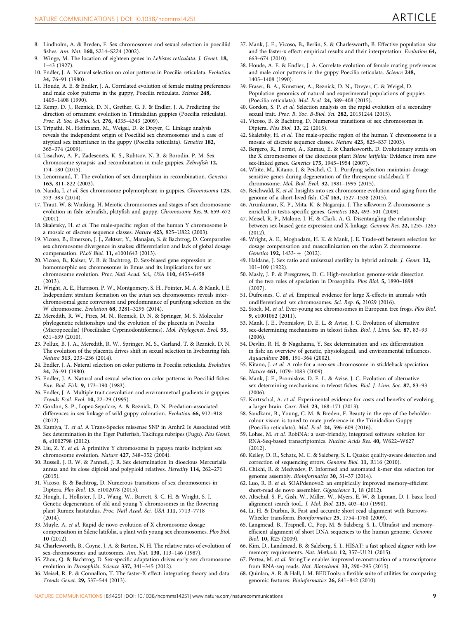- <span id="page-8-0"></span>8. Lindholm, A. & Breden, F. Sex chromosomes and sexual selection in poeciliid fishes. Am. Nat. 160, S214–S224 (2002).
- 9. Winge, M. The location of eighteen genes in Lebistes reticulata. J. Genet. 18, 1–43 (1927).
- 10. Endler, J. A. Natural selection on color patterns in Poecilia reticulata. Evolution 34, 76–91 (1980).
- 11. Houde, A. E. & Endler, J. A. Correlated evolution of female mating preferences and male color patterns in the guppy, Poecilia reticulata. Science 248, 1405–1408 (1990).
- 12. Kemp, D. J., Reznick, D. N., Grether, G. F. & Endler, J. A. Predicting the direction of ornament evolution in Trinidadian guppies (Poecilia reticulata). Proc. R. Soc. B-Biol. Sci. 276, 4335–4343 (2009).
- 13. Tripathi, N., Hoffmann, M., Weigel, D. & Dreyer, C. Linkage analysis reveals the independent origin of Poeciliid sex chromosomes and a case of atypical sex inheritance in the guppy (Poecilia reticulata). Genetics 182, 365–374 (2009).
- 14. Lisachov, A. P., Zadesenets, K. S., Rubtsov, N. B. & Borodin, P. M. Sex chromosome synapsis and recombination in male guppies. Zebrafish 12, 174–180 (2015).
- 15. Lenormand, T. The evolution of sex dimorphism in recombination. Genetics 163, 811–822 (2003).
- 16. Nanda, I. et al. Sex chromosome polymorphism in guppies. Chromosoma 123, 373–383 (2014).
- 17. Traut, W. & Winking, H. Meiotic chromosomes and stages of sex chromosome evolution in fish: zebrafish, platyfish and guppy. Chromosome Res. 9, 659–672 (2001).
- 18. Skaletsky, H. et al. The male-specific region of the human Y chromosome is a mosaic of discrete sequence classes. Nature 423, 825–U822 (2003).
- 19. Vicoso, B., Emerson, J. J., Zektser, Y., Manajan, S. & Bachtrog, D. Comparative sex chromosome divergence in snakes: differentiation and lack of global dosage compensation. PLoS Biol. 11, e1001643 (2013).
- 20. Vicoso, B., Kaiser, V. B. & Bachtrog, D. Sex-biased gene expression at homomorphic sex chromosomes in Emus and its implications for sex chromosome evolution. Proc. Natl Acad. Sci., USA 110, 6453–6458  $(2013)$ .
- 21. Wright, A. E., Harrison, P. W., Montgomery, S. H., Pointer, M. A. & Mank, J. E. Independent stratum formation on the avian sex chromosomes reveals interchromosomal gene conversion and predominance of purifying selection on the W chromosome. Evolution 68, 3281–3295 (2014).
- 22. Meredith, R. W., Pires, M. N., Reznick, D. N. & Springer, M. S. Molecular phylogenetic relationships and the evolution of the placenta in Poecilia (Micropoecilia) (Poeciliidae: Cyprinodontiformes). Mol. Phylogenet. Evol. 55, 631–639 (2010).
- 23. Pollux, B. J. A., Meredith, R. W., Springer, M. S., Garland, T. & Reznick, D. N. The evolution of the placenta drives shift in sexual selection in livebearing fish. Nature 513, 233–236 (2014).
- 24. Endler, J. A. Nateral selection on color patterns in Poecilia reticulata. Evolution 34, 76–91 (1980).
- 25. Endler, J. A. Natural and sexual selection on color patterns in Poeciliid fishes. Env. Biol. Fish. 9, 173–190 (1983).
- 26. Endler, J. A. Multiple trait coevolution and environmetnal gradients in guppies. Trends Ecol. Evol. 10, 22–29 (1995).
- 27. Gordon, S. P., Lopez-Sepulcre, A. & Reznick, D. N. Predation-associated differences in sex linkage of wild guppy coloration. Evolution 66, 912–918 (2012).
- 28. Kamiya, T. et al. A Trans-Species missense SNP in Amhr2 Is Associated with Sex determination in the Tiger Pufferfish, Takifugu rubripes (Fugu). Plos Genet. 8, e1002798 (2012).
- 29. Liu, Z. Y. et al. A primitive Y chromosome in papaya marks incipient sex chromosome evolution. Nature 427, 348–352 (2004).
- 30. Russell, J. R. W. & Pannell, J. R. Sex determination in dioecious Mercurialis annua and its close diploid and polyploid relatives. Heredity 114, 262–271 (2015).
- 31. Vicoso, B. & Bachtrog, D. Numerous transitions of sex chromosomes in Diptera. Plos Biol. 13, e1002078 (2015).
- 32. Hough, J., Hollister, J. D., Wang, W., Barrett, S. C. H. & Wright, S. I. Genetic degeneration of old and young Y chromosomes in the flowering plant Rumex hastatulus. Proc. Natl Acad. Sci. USA 111, 7713–7718  $(2014)$
- 33. Muyle, A. et al. Rapid de novo evolution of X chromosome dosage compensation in Silene latifolia, a plant with young sex chromosomes. Plos Biol. 10 (2012).
- 34. Charlesworth, B., Coyne, J. A. & Barton, N. H. The relative rates of evolution of sex-chromosomes and autosomes. Am. Nat. 130, 113-146 (1987).
- 35. Zhou, Q. & Bachtrog, D. Sex-specific adaptation drives early sex chromosome evolution in Drosophila. Science 337, 341–345 (2012).
- 36. Meisel, R. P. & Connallon, T. The faster-X effect: integrating theory and data. Trends Genet. 29, 537–544 (2013).
- 37. Mank, J. E., Vicoso, B., Berlin, S. & Charlesworth, B. Effective population size and the faster-x effect: empirical results and their interpretation. Evolution 64, 663–674 (2010).
- 38. Houde, A. E. & Endler, J. A. Correlate evolution of female mating preferences and male color patterns in the guppy Poecilia reticulata. Science 248, 1405–1408 (1990).
- 39. Fraser, B. A., Kunstner, A., Reznick, D. N., Dreyer, C. & Weigel, D. Population genomics of natural and experimental populations of guppies (Poecilia reticulata). Mol. Ecol. 24, 389–408 (2015).
- 40. Gordon, S. P. et al. Selection analysis on the rapid evolution of a secondary sexual trait. Proc. R. Soc. B-Biol. Sci. 282, 20151244 (2015).
- 41. Vicoso, B. & Bachtrog, D. Numerous transitions of sex chromosomes in Diptera. Plos Biol. 13, 22 (2015).
- 42. Skaletsky, H. et al. The male-specific region of the human Y chromosome is a mosaic of discrete sequence classes. Nature 423, 825–837 (2003).
- 43. Bergero, R., Forrest, A., Kamau, E. & Charlesworth, D. Evolutionary strata on the X chromosomes of the dioecious plant Silene latifolia: Evidence from new sex-linked genes. Genetics 175, 1945–1954 (2007).
- 44. White, M., Kitano, J. & Peichel, C. L. Purifying selection maintains dosage sensitive genes during degeneration of the threespine stickleback Y chromosome. Mol. Biol. Evol. 32, 1981–1995 (2015).
- 45. Reichwald, K. et al. Insights into sex chromosome evolution and aging from the genome of a short-lived fish. Cell 163, 1527–1538 (2015).
- 46. Arunkumar, K. P., Mita, K. & Nagaraju, J. The silkworm Z chromosome is enriched in testis-specific genes. Genetics 182, 493–501 (2009).
- 47. Meisel, R. P., Malone, J. H. & Clark, A. G. Disentangling the relationship between sex-biased gene expression and X-linkage. Genome Res. 22, 1255–1265 (2012).
- 48. Wright, A. E., Moghadam, H. K. & Mank, J. E. Trade-off between selection for dosage compensation and masculinization on the avian Z chromosome. Genetics 192, 1433- $+$  (2012).
- 49. Haldane, J. Sex ratio and unisexual sterility in hybrid animals. J. Genet. 12, 101–109 (1922).
- 50. Masly, J. P. & Presgraves, D. C. High-resolution genome-wide dissection of the two rules of speciation in Drosophila. Plos Biol. 5, 1890–1898  $(2007)$ .
- 51. Dufresnes, C. et al. Empirical evidence for large X-effects in animals with undifferentiated sex chromosomes. Sci. Rep. 6, 21029 (2016).
- 52. Stock, M. et al. Ever-young sex chromosomes in European tree frogs. Plos Biol. 9, e1001062 (2011).
- 53. Mank, J. E., Promislow, D. E. L. & Avise, J. C. Evolution of alternative sex-determining mechanisms in teleost fishes. Biol. J. Linn. Soc. 87, 83–93 (2006).
- 54. Devlin, R. H. & Nagahama, Y. Sex determination and sex differentiation in fish: an overview of genetic, physiological, and environmental influences. Aquaculture 208, 191–364 (2002).
- 55. Kitano, J. et al. A role for a neo-sex chromosome in stickleback speciation. Nature 461, 1079–1083 (2009).
- 56. Mank, J. E., Promislow, D. E. L. & Avise, J. C. Evolution of alternative sex determining mechanisms in teleost fishes. Biol. J. Linn. Soc. 87, 83–93  $(2006)$
- 57. Kortrschal, A. et al. Experimental evidence for costs and benefits of evolving a larger brain. Curr. Biol. 23, 168–171 (2013).
- 58. Sandkam, B., Young, C. M. & Breden, F. Beauty in the eye of the beholder: colour vision is tuned to mate preference in the Trinidadian Guppy (Poecilia reticulata). Mol. Ecol. 24, 596–609 (2016).
- 59. Lohse, M. et al. RobiNA: a user-friendly, integrated software solution for RNA-Seq-based transcriptomics. Nucleic Acids Res. 40, W622–W627  $(2012)$
- 60. Kelley, D. R., Schatz, M. C. & Salzberg, S. L. Quake: quality-aware detection and correction of sequencing errors. Genome Biol. 11, R116 (2010).
- 61. Chikhi, R. & Medvedev, P. Informed and automated k-mer size selection for genome assembly. Bioinformatics 30, 31–37 (2014).
- 62. Luo, R. B. et al. SOAPdenovo2: an empirically improved memory-efficient short-read de novo assembler. Gigascience 1, 18 (2012).
- 63. Altschul, S. F., Gish, W., Miller, W., Myers, E. W. & Lipman, D. J. basic local alignment search tooL. J. Mol. Biol. 215, 403–410 (1990).
- 64. Li, H. & Durbin, R. Fast and accurate short read alignment with Burrows-Wheeler transform. Bioinformatics 25, 1754–1760 (2009).
- 65. Langmead, B., Trapnell, C., Pop, M. & Salzberg, S. L. Ultrafast and memoryefficient alignment of short DNA sequences to the human genome. Genome Biol. 10, R25 (2009).
- 66. Kim, D., Landmead, B. & Salzberg, S. L. HISAT: a fast spliced aligner with low memory requirements. Nat. Methods 12, 357–U121 (2015).
- 67. Pertea, M. et al. StringTie enables improved reconstruction of a transcriptome from RNA-seq reads. Nat. Biotechnol. 33, 290–295 (2015).
- 68. Quinlan, A. R. & Hall, I. M. BEDTools: a flexible suite of utilities for comparing genomic features. Bioinformatics 26, 841–842 (2010).